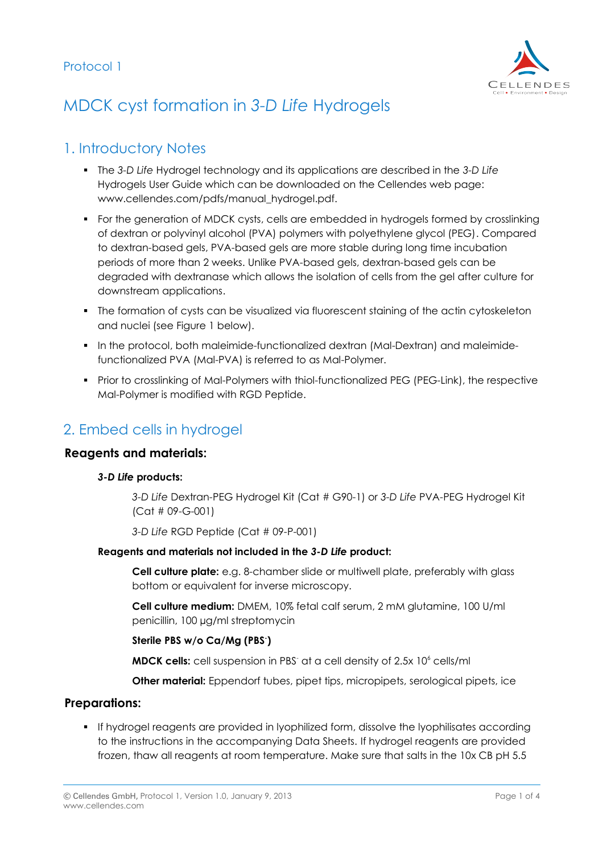

# MDCK cyst formation in *3-D Life* Hydrogels

# 1. Introductory Notes

- The *3-D Life* Hydrogel technology and its applications are described in the *3-D Life* Hydrogels User Guide which can be downloaded on the Cellendes web page: www.cellendes.com/pdfs/manual\_hydrogel.pdf.
- For the generation of MDCK cysts, cells are embedded in hydrogels formed by crosslinking of dextran or polyvinyl alcohol (PVA) polymers with polyethylene glycol (PEG). Compared to dextran-based gels, PVA-based gels are more stable during long time incubation periods of more than 2 weeks. Unlike PVA-based gels, dextran-based gels can be degraded with dextranase which allows the isolation of cells from the gel after culture for downstream applications.
- The formation of cysts can be visualized via fluorescent staining of the actin cytoskeleton and nuclei (see Figure 1 below).
- **In the protocol, both maleimide-functionalized dextran (Mal-Dextran) and maleimide**functionalized PVA (Mal-PVA) is referred to as Mal-Polymer.
- **Prior to crosslinking of Mal-Polymers with thiol-functionalized PEG (PEG-Link), the respective** Mal-Polymer is modified with RGD Peptide.

# 2. Embed cells in hydrogel

### **Reagents and materials:**

#### *3-D Life* **products:**

*3-D Life* Dextran-PEG Hydrogel Kit (Cat # G90-1) or *3-D Life* PVA-PEG Hydrogel Kit (Cat # 09-G-001)

*3-D Life* RGD Peptide (Cat # 09-P-001)

#### **Reagents and materials not included in the** *3-D Life* **product:**

**Cell culture plate:** e.g. 8-chamber slide or multiwell plate, preferably with glass bottom or equivalent for inverse microscopy.

**Cell culture medium:** DMEM, 10% fetal calf serum, 2 mM glutamine, 100 U/ml penicillin, 100 µg/ml streptomycin

**Sterile PBS w/o Ca/Mg (PBS- )**

**MDCK cells:** cell suspension in PBS<sup>-</sup> at a cell density of 2.5x 10<sup>6</sup> cells/ml

**Other material:** Eppendorf tubes, pipet tips, micropipets, serological pipets, ice

#### **Preparations:**

 If hydrogel reagents are provided in lyophilized form, dissolve the lyophilisates according to the instructions in the accompanying Data Sheets. If hydrogel reagents are provided frozen, thaw all reagents at room temperature. Make sure that salts in the 10x CB pH 5.5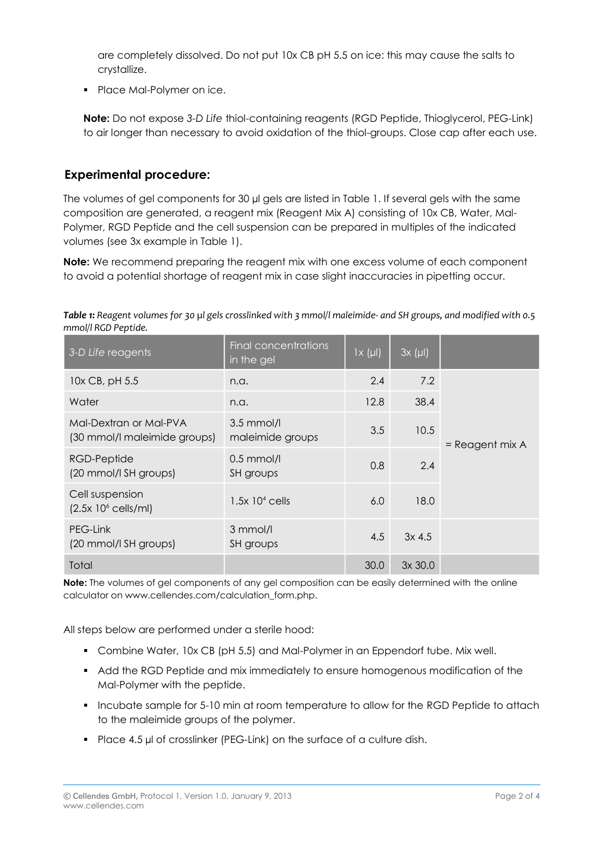are completely dissolved. Do not put 10x CB pH 5.5 on ice: this may cause the salts to crystallize.

• Place Mal-Polymer on ice.

**Note:** Do not expose *3-D Life* thiol-containing reagents (RGD Peptide, Thioglycerol, PEG-Link) to air longer than necessary to avoid oxidation of the thiol-groups. Close cap after each use.

### **Experimental procedure:**

The volumes of gel components for 30 µl gels are listed in Table 1. If several gels with the same composition are generated, a reagent mix (Reagent Mix A) consisting of 10x CB, Water, Mal-Polymer, RGD Peptide and the cell suspension can be prepared in multiples of the indicated volumes (see 3x example in Table 1).

**Note:** We recommend preparing the reagent mix with one excess volume of each component to avoid a potential shortage of reagent mix in case slight inaccuracies in pipetting occur.

*Table 1: Reagent volumes for 30 µl gels crosslinked with 3 mmol/l maleimide- and SH groups, and modified with 0.5 mmol/l RGD Peptide.*

| 3-D Life reagents                                      | Final concentrations<br>in the gel | $1x(\mu I)$ | 3x (µ)   |                 |
|--------------------------------------------------------|------------------------------------|-------------|----------|-----------------|
| 10x CB, pH 5.5                                         | n.a.                               | 2.4         | 7.2      | = Reagent mix A |
| Water                                                  | n.a.                               | 12.8        | 38.4     |                 |
| Mal-Dextran or Mal-PVA<br>(30 mmol/l maleimide groups) | $3.5$ mmol/l<br>maleimide groups   | 3.5         | 10.5     |                 |
| RGD-Peptide<br>(20 mmol/l SH groups)                   | $0.5$ mmol/l<br>SH groups          | 0.8         | 2.4      |                 |
| Cell suspension<br>$(2.5x 106$ cells/ml)               | $1.5x$ 10 <sup>4</sup> cells       | 6.0         | 18.0     |                 |
| PEG-Link<br>(20 mmol/l SH groups)                      | 3 mmol/l<br>SH groups              | 4.5         | $3x$ 4.5 |                 |
| Total                                                  |                                    | 30.0        | 3x30.0   |                 |

**Note:** The volumes of gel components of any gel composition can be easily determined with the online calculator on www.cellendes.com/calculation\_form.php.

All steps below are performed under a sterile hood:

- Combine Water, 10x CB (pH 5.5) and Mal-Polymer in an Eppendorf tube. Mix well.
- Add the RGD Peptide and mix immediately to ensure homogenous modification of the Mal-Polymer with the peptide.
- Incubate sample for 5-10 min at room temperature to allow for the RGD Peptide to attach to the maleimide groups of the polymer.
- Place 4.5 µl of crosslinker (PEG-Link) on the surface of a culture dish.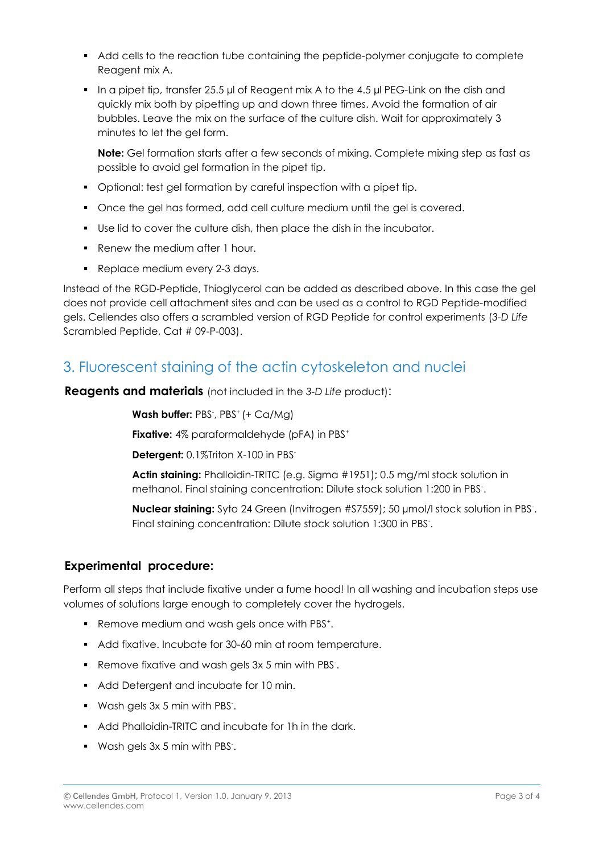- Add cells to the reaction tube containing the peptide-polymer conjugate to complete Reagent mix A.
- In a pipet tip, transfer 25.5 µl of Reagent mix A to the 4.5 µl PEG-Link on the dish and quickly mix both by pipetting up and down three times. Avoid the formation of air bubbles. Leave the mix on the surface of the culture dish. Wait for approximately 3 minutes to let the gel form.

**Note:** Gel formation starts after a few seconds of mixing. Complete mixing step as fast as possible to avoid gel formation in the pipet tip.

- Optional: test gel formation by careful inspection with a pipet tip.
- Once the gel has formed, add cell culture medium until the gel is covered.
- Use lid to cover the culture dish, then place the dish in the incubator.
- Renew the medium after 1 hour.
- Replace medium every 2-3 days.

Instead of the RGD-Peptide, Thioglycerol can be added as described above. In this case the gel does not provide cell attachment sites and can be used as a control to RGD Peptide-modified gels. Cellendes also offers a scrambled version of RGD Peptide for control experiments (*3-D Life* Scrambled Peptide, Cat # 09-P-003).

# 3. Fluorescent staining of the actin cytoskeleton and nuclei

**Reagents and materials** (not included in the *3-D Life* product):

Wash buffer: PBS<sup>-</sup>, PBS<sup>+</sup> (+ Ca/Mg)

**Fixative:** 4% paraformaldehyde (pFA) in PBS<sup>+</sup>

**Detergent:** 0.1%Triton X-100 in PBS -

**Actin staining:** Phalloidin-TRITC (e.g. Sigma #1951); 0.5 mg/ml stock solution in methanol. Final staining concentration: Dilute stock solution 1:200 in PBS- .

**Nuclear staining:** Syto 24 Green (Invitrogen #S7559); 50 µmol/I stock solution in PBS. Final staining concentration: Dilute stock solution 1:300 in PBS.

### **Experimental procedure:**

Perform all steps that include fixative under a fume hood! In all washing and incubation steps use volumes of solutions large enough to completely cover the hydrogels.

- Remove medium and wash gels once with PBS<sup>+</sup>.
- Add fixative. Incubate for 30-60 min at room temperature.
- Remove fixative and wash gels 3x 5 min with PBS.
- Add Detergent and incubate for 10 min.
- Wash gels 3x 5 min with PBS- .
- Add Phalloidin-TRITC and incubate for 1h in the dark.
- Wash gels 3x 5 min with PBS- .